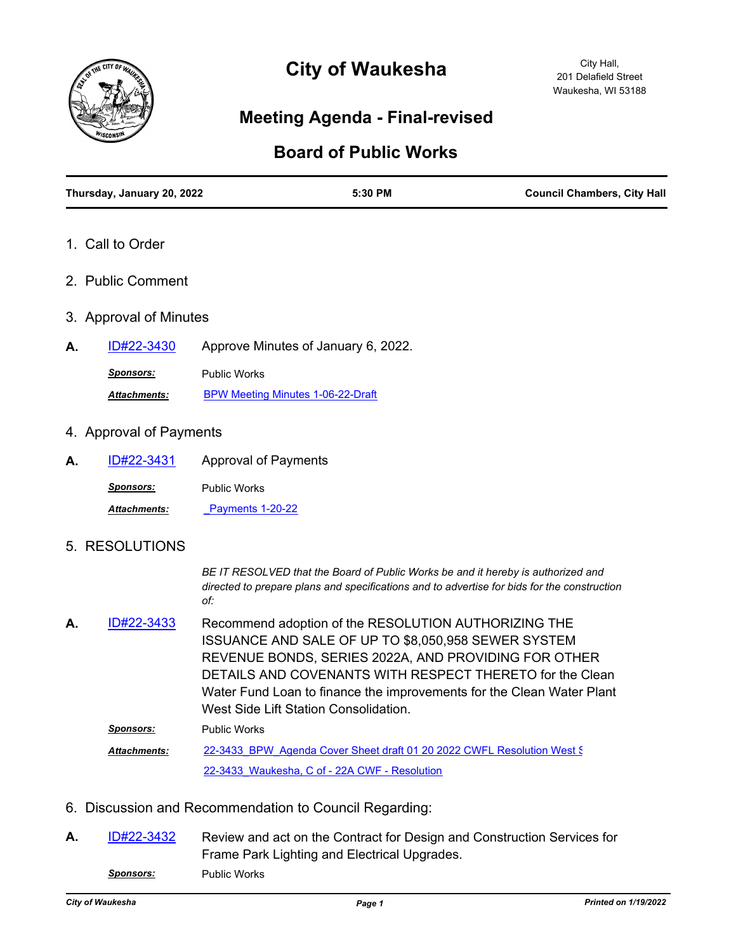

# **City of Waukesha**

## **Meeting Agenda - Final-revised**

### **Board of Public Works**

| Thursday, January 20, 2022 |                                          | 5:30 PM                                                                                                                                                                                                                                                                  | <b>Council Chambers, City Hall</b>                                                          |
|----------------------------|------------------------------------------|--------------------------------------------------------------------------------------------------------------------------------------------------------------------------------------------------------------------------------------------------------------------------|---------------------------------------------------------------------------------------------|
| 1. Call to Order           |                                          |                                                                                                                                                                                                                                                                          |                                                                                             |
| 2. Public Comment          |                                          |                                                                                                                                                                                                                                                                          |                                                                                             |
| 3. Approval of Minutes     |                                          |                                                                                                                                                                                                                                                                          |                                                                                             |
| <u>ID#22-3430</u><br>А.    | Approve Minutes of January 6, 2022.      |                                                                                                                                                                                                                                                                          |                                                                                             |
| <b>Sponsors:</b>           | <b>Public Works</b>                      |                                                                                                                                                                                                                                                                          |                                                                                             |
| Attachments:               | <b>BPW Meeting Minutes 1-06-22-Draft</b> |                                                                                                                                                                                                                                                                          |                                                                                             |
| 4. Approval of Payments    |                                          |                                                                                                                                                                                                                                                                          |                                                                                             |
| ID#22-3431<br>А.           | <b>Approval of Payments</b>              |                                                                                                                                                                                                                                                                          |                                                                                             |
| <b>Sponsors:</b>           | <b>Public Works</b>                      |                                                                                                                                                                                                                                                                          |                                                                                             |
| Attachments:               | <b>Payments 1-20-22</b>                  |                                                                                                                                                                                                                                                                          |                                                                                             |
| 5. RESOLUTIONS             |                                          |                                                                                                                                                                                                                                                                          |                                                                                             |
|                            | of:                                      | BE IT RESOLVED that the Board of Public Works be and it hereby is authorized and                                                                                                                                                                                         | directed to prepare plans and specifications and to advertise for bids for the construction |
| ID#22-3433<br>А.           |                                          | Recommend adoption of the RESOLUTION AUTHORIZING THE<br>ISSUANCE AND SALE OF UP TO \$8,050,958 SEWER SYSTEM<br>REVENUE BONDS, SERIES 2022A, AND PROVIDING FOR OTHER<br>DETAILS AND COVENANTS WITH RESPECT THERETO for the Clean<br>West Side Lift Station Consolidation. | Water Fund Loan to finance the improvements for the Clean Water Plant                       |
| <u>Sponsors:</u>           | <b>Public Works</b>                      |                                                                                                                                                                                                                                                                          |                                                                                             |
| Attachments:               |                                          | 22-3433 BPW Agenda Cover Sheet draft 01 20 2022 CWFL Resolution West §                                                                                                                                                                                                   |                                                                                             |
|                            |                                          | 22-3433 Waukesha, C of - 22A CWF - Resolution                                                                                                                                                                                                                            |                                                                                             |

- 6. Discussion and Recommendation to Council Regarding:
- Review and act on the Contract for Design and Construction Services for Frame Park Lighting and Electrical Upgrades. **A.** [ID#22-3432](http://waukesha.legistar.com/gateway.aspx?m=l&id=/matter.aspx?key=16382) **Sponsors:** Public Works